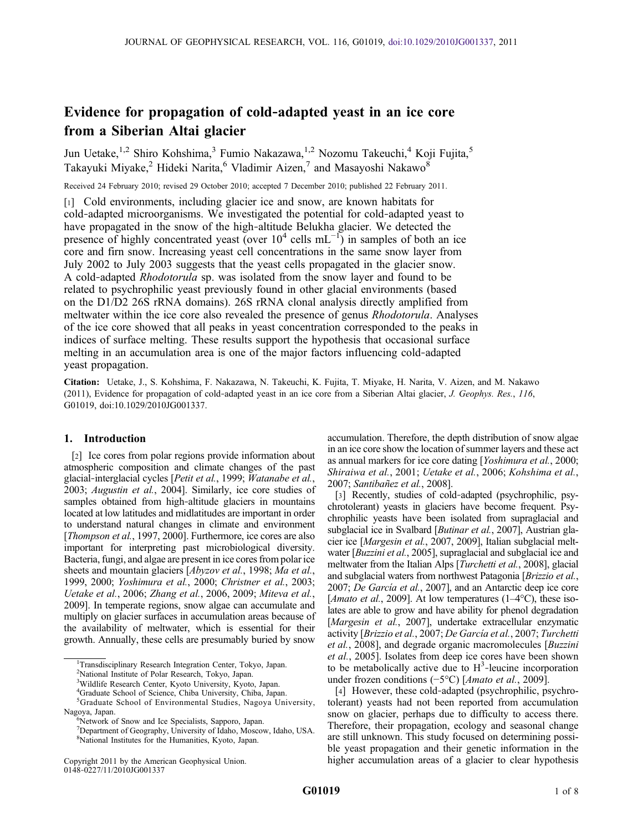# Evidence for propagation of cold‐adapted yeast in an ice core from a Siberian Altai glacier

Jun Uetake,<sup>1,2</sup> Shiro Kohshima,<sup>3</sup> Fumio Nakazawa,<sup>1,2</sup> Nozomu Takeuchi,<sup>4</sup> Koji Fujita,<sup>5</sup> Takayuki Miyake,<sup>2</sup> Hideki Narita,<sup>6</sup> Vladimir Aizen,<sup>7</sup> and Masayoshi Nakawo<sup>8</sup>

Received 24 February 2010; revised 29 October 2010; accepted 7 December 2010; published 22 February 2011.

[1] Cold environments, including glacier ice and snow, are known habitats for cold‐adapted microorganisms. We investigated the potential for cold‐adapted yeast to have propagated in the snow of the high-altitude Belukha glacier. We detected the presence of highly concentrated yeast (over  $10^4$  cells mL<sup>-1</sup>) in samples of both an ice core and firn snow. Increasing yeast cell concentrations in the same snow layer from July 2002 to July 2003 suggests that the yeast cells propagated in the glacier snow. A cold‐adapted Rhodotorula sp. was isolated from the snow layer and found to be related to psychrophilic yeast previously found in other glacial environments (based on the D1/D2 26S rRNA domains). 26S rRNA clonal analysis directly amplified from meltwater within the ice core also revealed the presence of genus Rhodotorula. Analyses of the ice core showed that all peaks in yeast concentration corresponded to the peaks in indices of surface melting. These results support the hypothesis that occasional surface melting in an accumulation area is one of the major factors influencing cold‐adapted yeast propagation.

Citation: Uetake, J., S. Kohshima, F. Nakazawa, N. Takeuchi, K. Fujita, T. Miyake, H. Narita, V. Aizen, and M. Nakawo (2011), Evidence for propagation of cold-adapted yeast in an ice core from a Siberian Altai glacier, J. Geophys. Res., 116, G01019, doi:10.1029/2010JG001337.

# 1. Introduction

[2] Ice cores from polar regions provide information about atmospheric composition and climate changes of the past glacial-interglacial cycles [Petit et al., 1999; Watanabe et al., 2003; Augustin et al., 2004]. Similarly, ice core studies of samples obtained from high-altitude glaciers in mountains located at low latitudes and midlatitudes are important in order to understand natural changes in climate and environment [Thompson et al., 1997, 2000]. Furthermore, ice cores are also important for interpreting past microbiological diversity. Bacteria, fungi, and algae are present in ice cores from polar ice sheets and mountain glaciers [Abyzov et al., 1998; Ma et al., 1999, 2000; Yoshimura et al., 2000; Christner et al., 2003; Uetake et al., 2006; Zhang et al., 2006, 2009; Miteva et al., 2009]. In temperate regions, snow algae can accumulate and multiply on glacier surfaces in accumulation areas because of the availability of meltwater, which is essential for their growth. Annually, these cells are presumably buried by snow

accumulation. Therefore, the depth distribution of snow algae in an ice core show the location of summer layers and these act as annual markers for ice core dating [Yoshimura et al., 2000; Shiraiwa et al., 2001; Uetake et al., 2006; Kohshima et al., 2007; Santibañez et al., 2008].

[3] Recently, studies of cold-adapted (psychrophilic, psychrotolerant) yeasts in glaciers have become frequent. Psychrophilic yeasts have been isolated from supraglacial and subglacial ice in Svalbard [*Butinar et al.*, 2007], Austrian glacier ice [Margesin et al., 2007, 2009], Italian subglacial meltwater [Buzzini et al., 2005], supraglacial and subglacial ice and meltwater from the Italian Alps [Turchetti et al., 2008], glacial and subglacial waters from northwest Patagonia [Brizzio et al., 2007; De García et al., 2007], and an Antarctic deep ice core [*Amato et al.*, 2009]. At low temperatures (1–4 $\degree$ C), these isolates are able to grow and have ability for phenol degradation [Margesin et al., 2007], undertake extracellular enzymatic activity [Brizzio et al., 2007; De García et al., 2007; Turchetti et al., 2008], and degrade organic macromolecules [Buzzini et al., 2005]. Isolates from deep ice cores have been shown to be metabolically active due to  $H^3$ -leucine incorporation under frozen conditions (−5°C) [Amato et al., 2009].

[4] However, these cold-adapted (psychrophilic, psychrotolerant) yeasts had not been reported from accumulation snow on glacier, perhaps due to difficulty to access there. Therefore, their propagation, ecology and seasonal change are still unknown. This study focused on determining possible yeast propagation and their genetic information in the higher accumulation areas of a glacier to clear hypothesis

<sup>&</sup>lt;sup>1</sup>Transdisciplinary Research Integration Center, Tokyo, Japan.

<sup>2</sup> National Institute of Polar Research, Tokyo, Japan.

<sup>&</sup>lt;sup>3</sup>Wildlife Research Center, Kyoto University, Kyoto, Japan.

<sup>4</sup> Graduate School of Science, Chiba University, Chiba, Japan.

<sup>&</sup>lt;sup>5</sup>Graduate School of Environmental Studies, Nagoya University, Nagoya, Japan. <sup>6</sup>

<sup>&</sup>lt;sup>6</sup>Network of Snow and Ice Specialists, Sapporo, Japan.

<sup>7</sup> Department of Geography, University of Idaho, Moscow, Idaho, USA. 8 National Institutes for the Humanities, Kyoto, Japan.

Copyright 2011 by the American Geophysical Union. 0148‐0227/11/2010JG001337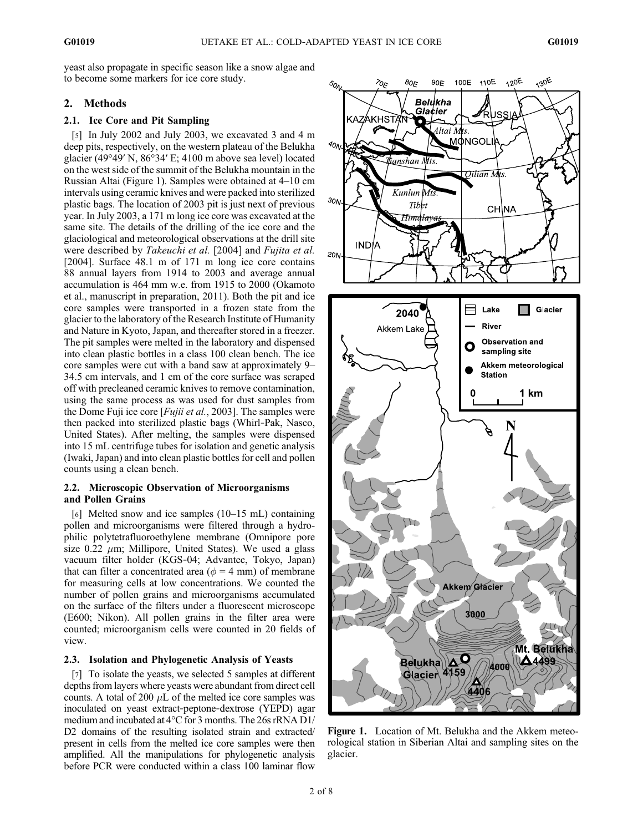yeast also propagate in specific season like a snow algae and to become some markers for ice core study.

# 2. Methods

## 2.1. Ice Core and Pit Sampling

[5] In July 2002 and July 2003, we excavated 3 and 4 m deep pits, respectively, on the western plateau of the Belukha glacier (49°49′ N, 86°34′ E; 4100 m above sea level) located on the west side of the summit of the Belukha mountain in the Russian Altai (Figure 1). Samples were obtained at 4–10 cm intervals using ceramic knives and were packed into sterilized plastic bags. The location of 2003 pit is just next of previous year. In July 2003, a 171 m long ice core was excavated at the same site. The details of the drilling of the ice core and the glaciological and meteorological observations at the drill site were described by Takeuchi et al. [2004] and Fujita et al. [2004]. Surface 48.1 m of 171 m long ice core contains 88 annual layers from 1914 to 2003 and average annual accumulation is 464 mm w.e. from 1915 to 2000 (Okamoto et al., manuscript in preparation, 2011). Both the pit and ice core samples were transported in a frozen state from the glacier to the laboratory of the Research Institute of Humanity and Nature in Kyoto, Japan, and thereafter stored in a freezer. The pit samples were melted in the laboratory and dispensed into clean plastic bottles in a class 100 clean bench. The ice core samples were cut with a band saw at approximately 9– 34.5 cm intervals, and 1 cm of the core surface was scraped off with precleaned ceramic knives to remove contamination, using the same process as was used for dust samples from the Dome Fuji ice core [*Fujii et al.*, 2003]. The samples were then packed into sterilized plastic bags (Whirl‐Pak, Nasco, United States). After melting, the samples were dispensed into 15 mL centrifuge tubes for isolation and genetic analysis (Iwaki, Japan) and into clean plastic bottles for cell and pollen counts using a clean bench.

## 2.2. Microscopic Observation of Microorganisms and Pollen Grains

[6] Melted snow and ice samples (10–15 mL) containing pollen and microorganisms were filtered through a hydrophilic polytetrafluoroethylene membrane (Omnipore pore size  $0.22 \mu m$ ; Millipore, United States). We used a glass vacuum filter holder (KGS‐04; Advantec, Tokyo, Japan) that can filter a concentrated area ( $\phi = 4$  mm) of membrane for measuring cells at low concentrations. We counted the number of pollen grains and microorganisms accumulated on the surface of the filters under a fluorescent microscope (E600; Nikon). All pollen grains in the filter area were counted; microorganism cells were counted in 20 fields of view.

## 2.3. Isolation and Phylogenetic Analysis of Yeasts

[7] To isolate the yeasts, we selected 5 samples at different depths from layers where yeasts were abundant from direct cell counts. A total of 200  $\mu$ L of the melted ice core samples was inoculated on yeast extract‐peptone‐dextrose (YEPD) agar medium and incubated at 4°C for 3 months. The 26s rRNA D1/ D<sub>2</sub> domains of the resulting isolated strain and extracted/ present in cells from the melted ice core samples were then amplified. All the manipulations for phylogenetic analysis before PCR were conducted within a class 100 laminar flow



Figure 1. Location of Mt. Belukha and the Akkem meteorological station in Siberian Altai and sampling sites on the glacier.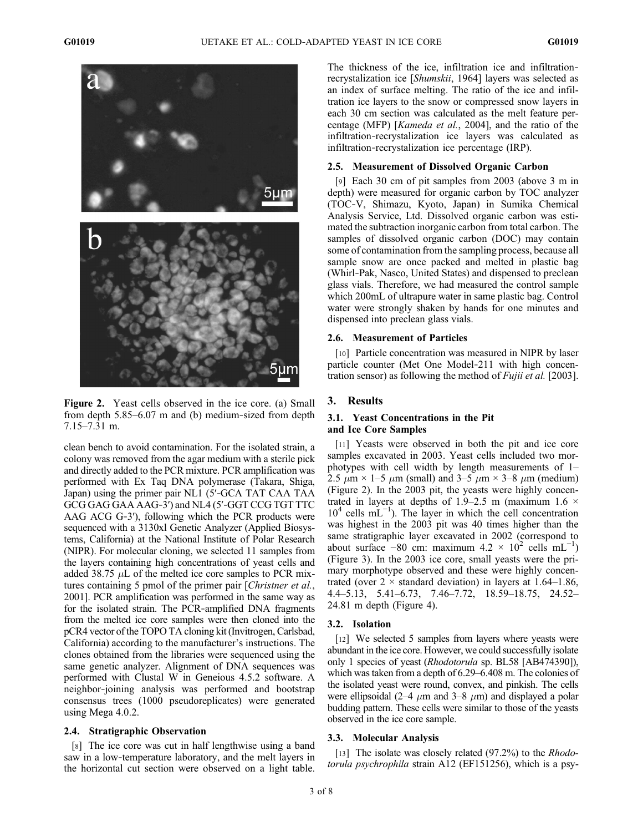

Figure 2. Yeast cells observed in the ice core. (a) Small from depth 5.85–6.07 m and (b) medium‐sized from depth 7.15–7.31 m.

clean bench to avoid contamination. For the isolated strain, a colony was removed from the agar medium with a sterile pick and directly added to the PCR mixture. PCR amplification was performed with Ex Taq DNA polymerase (Takara, Shiga, Japan) using the primer pair NL1 (5′‐GCA TAT CAA TAA GCG GAG GAA AAG‐3′) and NL4 (5′‐GGT CCG TGT TTC AAG ACG G‐3′), following which the PCR products were sequenced with a 3130xl Genetic Analyzer (Applied Biosystems, California) at the National Institute of Polar Research (NIPR). For molecular cloning, we selected 11 samples from the layers containing high concentrations of yeast cells and added 38.75  $\mu$ L of the melted ice core samples to PCR mixtures containing 5 pmol of the primer pair [Christner et al., 2001]. PCR amplification was performed in the same way as for the isolated strain. The PCR‐amplified DNA fragments from the melted ice core samples were then cloned into the pCR4 vector of the TOPO TA cloning kit (Invitrogen, Carlsbad, California) according to the manufacturer's instructions. The clones obtained from the libraries were sequenced using the same genetic analyzer. Alignment of DNA sequences was performed with Clustal W in Geneious 4.5.2 software. A neighbor‐joining analysis was performed and bootstrap consensus trees (1000 pseudoreplicates) were generated using Mega 4.0.2.

#### 2.4. Stratigraphic Observation

[8] The ice core was cut in half lengthwise using a band saw in a low-temperature laboratory, and the melt layers in the horizontal cut section were observed on a light table. The thickness of the ice, infiltration ice and infiltration‐ recrystalization ice [Shumskii, 1964] layers was selected as an index of surface melting. The ratio of the ice and infiltration ice layers to the snow or compressed snow layers in each 30 cm section was calculated as the melt feature percentage (MFP) [Kameda et al., 2004], and the ratio of the infiltration‐recrystalization ice layers was calculated as infiltration‐recrystalization ice percentage (IRP).

### 2.5. Measurement of Dissolved Organic Carbon

[9] Each 30 cm of pit samples from 2003 (above 3 m in depth) were measured for organic carbon by TOC analyzer (TOC‐V, Shimazu, Kyoto, Japan) in Sumika Chemical Analysis Service, Ltd. Dissolved organic carbon was estimated the subtraction inorganic carbon from total carbon. The samples of dissolved organic carbon (DOC) may contain some of contamination from the sampling process, because all sample snow are once packed and melted in plastic bag (Whirl‐Pak, Nasco, United States) and dispensed to preclean glass vials. Therefore, we had measured the control sample which 200mL of ultrapure water in same plastic bag. Control water were strongly shaken by hands for one minutes and dispensed into preclean glass vials.

#### 2.6. Measurement of Particles

[10] Particle concentration was measured in NIPR by laser particle counter (Met One Model‐211 with high concentration sensor) as following the method of *Fujii et al.* [2003].

#### 3. Results

#### 3.1. Yeast Concentrations in the Pit and Ice Core Samples

[11] Yeasts were observed in both the pit and ice core samples excavated in 2003. Yeast cells included two morphotypes with cell width by length measurements of 1– 2.5  $\mu$ m × 1–5  $\mu$ m (small) and 3–5  $\mu$ m × 3–8  $\mu$ m (medium) (Figure 2). In the 2003 pit, the yeasts were highly concentrated in layers at depths of 1.9–2.5 m (maximum 1.6  $\times$ 10<sup>4</sup> cells mL<sup>-1</sup>). The layer in which the cell concentration was highest in the 2003 pit was 40 times higher than the same stratigraphic layer excavated in 2002 (correspond to about surface -80 cm: maximum  $4.2 \times 10^2$  cells mL<sup>-1</sup>) (Figure 3). In the 2003 ice core, small yeasts were the primary morphotype observed and these were highly concentrated (over  $2 \times$  standard deviation) in layers at 1.64–1.86, 4.4–5.13, 5.41–6.73, 7.46–7.72, 18.59–18.75, 24.52– 24.81 m depth (Figure 4).

#### 3.2. Isolation

[12] We selected 5 samples from layers where yeasts were abundant in the ice core. However, we could successfully isolate only 1 species of yeast (Rhodotorula sp. BL58 [AB474390]), which was taken from a depth of 6.29–6.408 m. The colonies of the isolated yeast were round, convex, and pinkish. The cells were ellipsoidal (2–4  $\mu$ m and 3–8  $\mu$ m) and displayed a polar budding pattern. These cells were similar to those of the yeasts observed in the ice core sample.

#### 3.3. Molecular Analysis

[13] The isolate was closely related (97.2%) to the *Rhodo*torula psychrophila strain A12 (EF151256), which is a psy-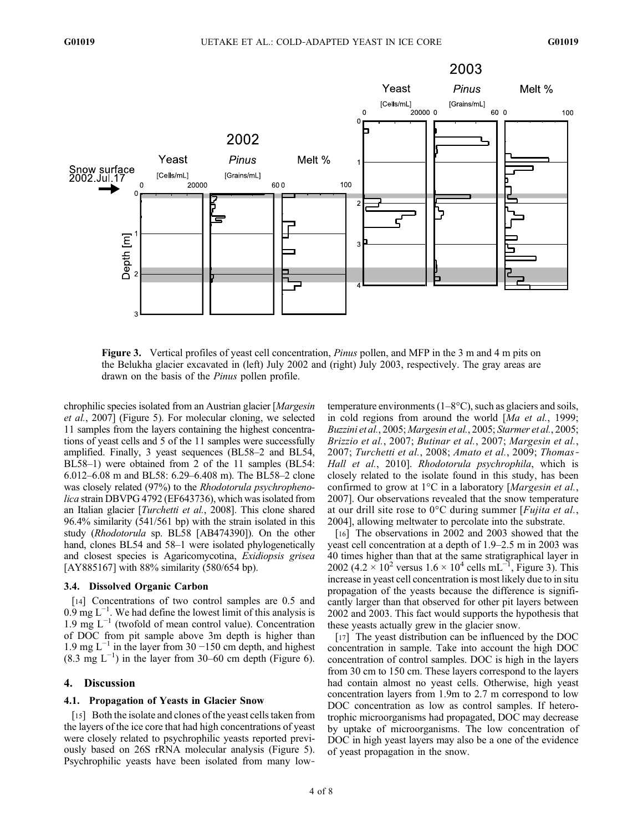

Figure 3. Vertical profiles of yeast cell concentration, *Pinus* pollen, and MFP in the 3 m and 4 m pits on the Belukha glacier excavated in (left) July 2002 and (right) July 2003, respectively. The gray areas are drawn on the basis of the Pinus pollen profile.

chrophilic species isolated from an Austrian glacier [Margesin et al., 2007] (Figure 5). For molecular cloning, we selected 11 samples from the layers containing the highest concentrations of yeast cells and 5 of the 11 samples were successfully amplified. Finally, 3 yeast sequences (BL58–2 and BL54, BL58–1) were obtained from 2 of the 11 samples (BL54: 6.012–6.08 m and BL58: 6.29–6.408 m). The BL58–2 clone was closely related (97%) to the Rhodotorula psychrophenolica strain DBVPG 4792 (EF643736), which was isolated from an Italian glacier [Turchetti et al., 2008]. This clone shared 96.4% similarity (541/561 bp) with the strain isolated in this study (Rhodotorula sp. BL58 [AB474390]). On the other hand, clones BL54 and 58–1 were isolated phylogenetically and closest species is Agaricomycotina, Exidiopsis grisea [AY885167] with 88% similarity (580/654 bp).

#### 3.4. Dissolved Organic Carbon

[14] Concentrations of two control samples are 0.5 and  $0.9 \text{ mg L}^{-1}$ . We had define the lowest limit of this analysis is 1.9 mg L−<sup>1</sup> (twofold of mean control value). Concentration of DOC from pit sample above 3m depth is higher than 1.9 mg  $L^{-1}$  in the layer from 30 −150 cm depth, and highest  $(8.3 \text{ mg } L^{-1})$  in the layer from 30–60 cm depth (Figure 6).

## 4. Discussion

#### 4.1. Propagation of Yeasts in Glacier Snow

[15] Both the isolate and clones of the yeast cells taken from the layers of the ice core that had high concentrations of yeast were closely related to psychrophilic yeasts reported previously based on 26S rRNA molecular analysis (Figure 5). Psychrophilic yeasts have been isolated from many low‐ temperature environments (1–8°C), such as glaciers and soils, in cold regions from around the world [Ma et al., 1999; Buzzini et al., 2005; Margesin et al., 2005; Starmer et al., 2005; Brizzio et al., 2007; Butinar et al., 2007; Margesin et al., 2007; Turchetti et al., 2008; Amato et al., 2009; Thomas‐ Hall et al., 2010]. Rhodotorula psychrophila, which is closely related to the isolate found in this study, has been confirmed to grow at  $1^{\circ}$ C in a laboratory [*Margesin et al.*, 2007]. Our observations revealed that the snow temperature at our drill site rose to  $0^{\circ}$ C during summer [*Fujita et al.*, 2004], allowing meltwater to percolate into the substrate.

[16] The observations in 2002 and 2003 showed that the yeast cell concentration at a depth of 1.9–2.5 m in 2003 was 40 times higher than that at the same stratigraphical layer in 2002 (4.2 × 10<sup>2</sup> versus  $1.6 \times 10^4$  cells mL<sup>-1</sup>, Figure 3). This increase in yeast cell concentration is most likely due to in situ propagation of the yeasts because the difference is significantly larger than that observed for other pit layers between 2002 and 2003. This fact would supports the hypothesis that these yeasts actually grew in the glacier snow.

[17] The yeast distribution can be influenced by the DOC concentration in sample. Take into account the high DOC concentration of control samples. DOC is high in the layers from 30 cm to 150 cm. These layers correspond to the layers had contain almost no yeast cells. Otherwise, high yeast concentration layers from 1.9m to 2.7 m correspond to low DOC concentration as low as control samples. If heterotrophic microorganisms had propagated, DOC may decrease by uptake of microorganisms. The low concentration of DOC in high yeast layers may also be a one of the evidence of yeast propagation in the snow.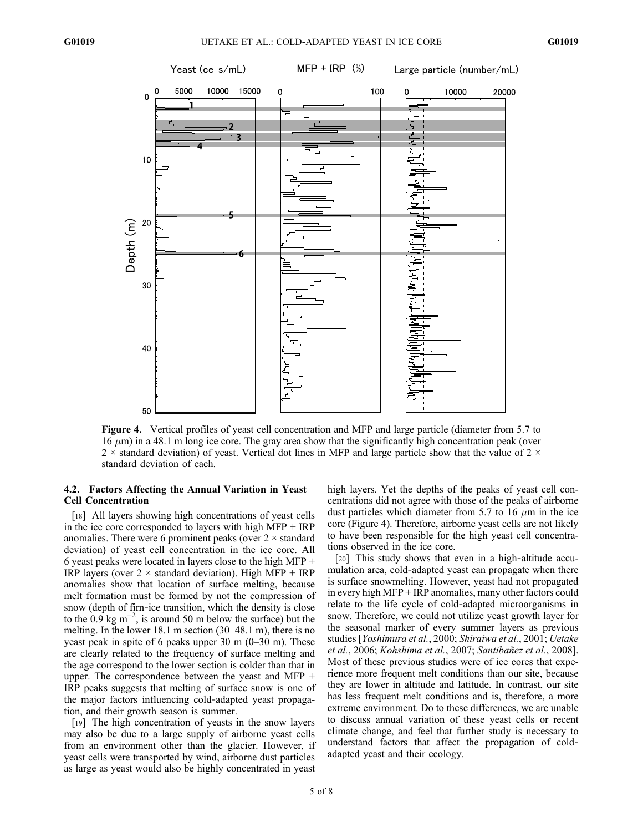

Figure 4. Vertical profiles of yeast cell concentration and MFP and large particle (diameter from 5.7 to  $16 \mu m$ ) in a 48.1 m long ice core. The gray area show that the significantly high concentration peak (over  $2 \times$  standard deviation) of yeast. Vertical dot lines in MFP and large particle show that the value of  $2 \times$ standard deviation of each.

## 4.2. Factors Affecting the Annual Variation in Yeast Cell Concentration

[18] All layers showing high concentrations of yeast cells in the ice core corresponded to layers with high MFP + IRP anomalies. There were 6 prominent peaks (over  $2 \times$  standard deviation) of yeast cell concentration in the ice core. All 6 yeast peaks were located in layers close to the high MFP + IRP layers (over  $2 \times$  standard deviation). High MFP + IRP anomalies show that location of surface melting, because melt formation must be formed by not the compression of snow (depth of firn-ice transition, which the density is close to the  $0.9 \text{ kg m}^{-2}$ , is around 50 m below the surface) but the melting. In the lower 18.1 m section (30–48.1 m), there is no yeast peak in spite of 6 peaks upper 30 m (0–30 m). These are clearly related to the frequency of surface melting and the age correspond to the lower section is colder than that in upper. The correspondence between the yeast and MFP + IRP peaks suggests that melting of surface snow is one of the major factors influencing cold‐adapted yeast propagation, and their growth season is summer.

[19] The high concentration of yeasts in the snow layers may also be due to a large supply of airborne yeast cells from an environment other than the glacier. However, if yeast cells were transported by wind, airborne dust particles as large as yeast would also be highly concentrated in yeast

high layers. Yet the depths of the peaks of yeast cell concentrations did not agree with those of the peaks of airborne dust particles which diameter from 5.7 to 16  $\mu$ m in the ice core (Figure 4). Therefore, airborne yeast cells are not likely to have been responsible for the high yeast cell concentrations observed in the ice core.

[20] This study shows that even in a high-altitude accumulation area, cold‐adapted yeast can propagate when there is surface snowmelting. However, yeast had not propagated in every high MFP + IRP anomalies, many other factors could relate to the life cycle of cold‐adapted microorganisms in snow. Therefore, we could not utilize yeast growth layer for the seasonal marker of every summer layers as previous studies [Yoshimura et al., 2000; Shiraiwa et al., 2001; Uetake et al., 2006; Kohshima et al., 2007; Santibañez et al., 2008]. Most of these previous studies were of ice cores that experience more frequent melt conditions than our site, because they are lower in altitude and latitude. In contrast, our site has less frequent melt conditions and is, therefore, a more extreme environment. Do to these differences, we are unable to discuss annual variation of these yeast cells or recent climate change, and feel that further study is necessary to understand factors that affect the propagation of cold‐ adapted yeast and their ecology.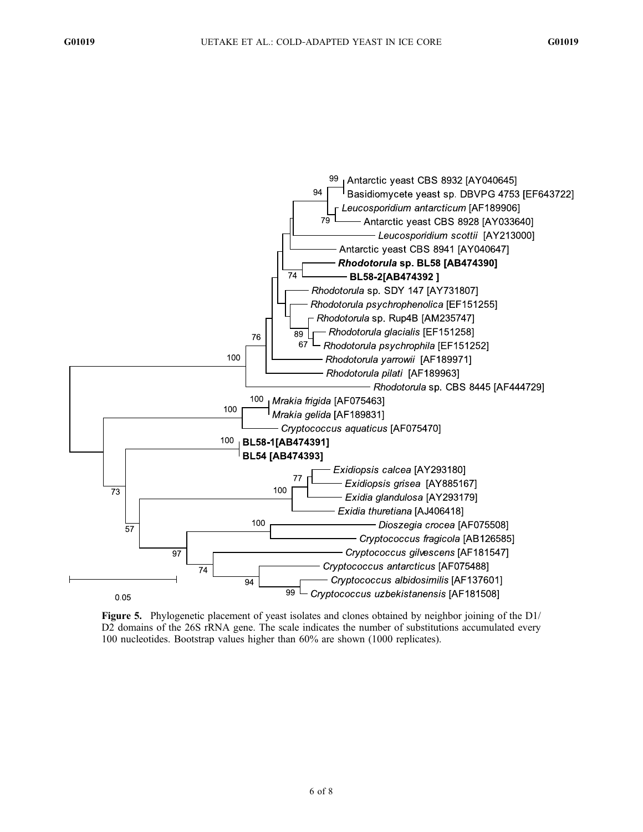

Figure 5. Phylogenetic placement of yeast isolates and clones obtained by neighbor joining of the D1/ D2 domains of the 26S rRNA gene. The scale indicates the number of substitutions accumulated every 100 nucleotides. Bootstrap values higher than 60% are shown (1000 replicates).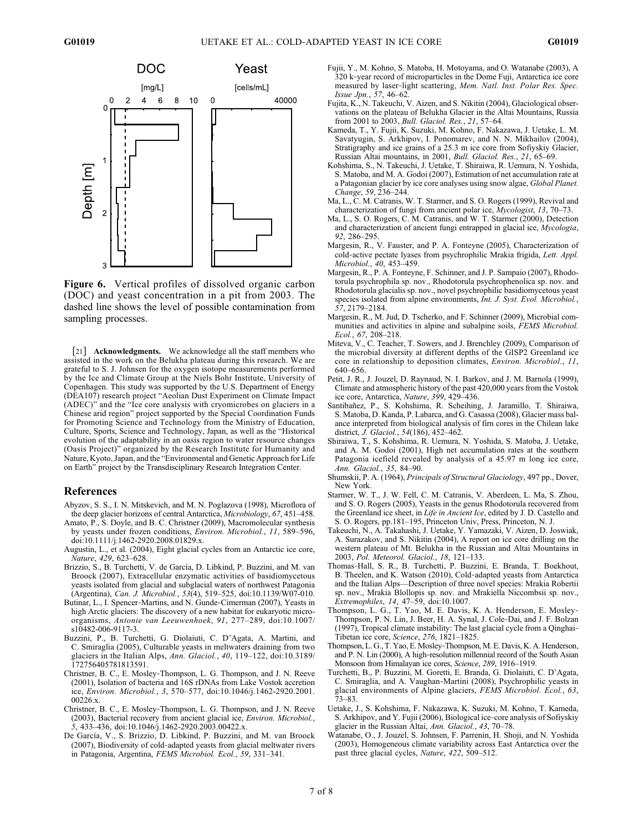

Figure 6. Vertical profiles of dissolved organic carbon (DOC) and yeast concentration in a pit from 2003. The dashed line shows the level of possible contamination from sampling processes.

[21] Acknowledgments. We acknowledge all the staff members who assisted in the work on the Belukha plateau during this research. We are grateful to S. J. Johnsen for the oxygen isotope measurements performed by the Ice and Climate Group at the Niels Bohr Institute, University of Copenhagen. This study was supported by the U.S. Department of Energy (DEA107) research project "Aeolian Dust Experiment on Climate Impact (ADEC)" and the "Ice core analysis with cryomicrobes on glaciers in a Chinese arid region" project supported by the Special Coordination Funds for Promoting Science and Technology from the Ministry of Education, Culture, Sports, Science and Technology, Japan, as well as the "Historical evolution of the adaptability in an oasis region to water resource changes (Oasis Project)" organized by the Research Institute for Humanity and Nature, Kyoto, Japan, and the "Environmental and Genetic Approach for Life on Earth" project by the Transdisciplinary Research Integration Center.

## References

- Abyzov, S. S., I. N. Mitskevich, and M. N. Poglazova (1998), Microflora of the deep glacier horizons of central Antarctica, Microbiology, 67, 451–458.
- Amato, P., S. Doyle, and B. C. Christner (2009), Macromolecular synthesis by yeasts under frozen conditions, Environ. Microbiol., 11, 589–596, doi:10.1111/j.1462-2920.2008.01829.x.
- Augustin, L., et al. (2004), Eight glacial cycles from an Antarctic ice core, Nature, 429, 623–628.
- Brizzio, S., B. Turchetti, V. de García, D. Libkind, P. Buzzini, and M. van Broock (2007), Extracellular enzymatic activities of basidiomycetous yeasts isolated from glacial and subglacial waters of northwest Patagonia (Argentina), Can. J. Microbiol., 53(4), 519–525, doi:10.1139/W07-010.
- Butinar, L., I. Spencer-Martins, and N. Gunde-Cimerman (2007), Yeasts in high Arctic glaciers: The discovery of a new habitat for eukaryotic microorganisms, Antonie van Leeuwenhoek, 91, 277–289, doi:10.1007/ s10482-006-9117-3.
- Buzzini, P., B. Turchetti, G. Diolaiuti, C. D'Agata, A. Martini, and C. Smiraglia (2005), Culturable yeasts in meltwaters draining from two glaciers in the Italian Alps, Ann. Glaciol., 40, 119–122, doi:10.3189/ 172756405781813591.
- Christner, B. C., E. Mosley‐Thompson, L. G. Thompson, and J. N. Reeve (2001), Isolation of bacteria and 16S rDNAs from Lake Vostok accretion ice, Environ. Microbiol., 3, 570–577, doi:10.1046/j.1462-2920.2001. 00226.x.
- Christner, B. C., E. Mosley‐Thompson, L. G. Thompson, and J. N. Reeve (2003), Bacterial recovery from ancient glacial ice, Environ. Microbiol., 5, 433–436, doi:10.1046/j.1462-2920.2003.00422.x.
- De García, V., S. Brizzio, D. Libkind, P. Buzzini, and M. van Broock (2007), Biodiversity of cold‐adapted yeasts from glacial meltwater rivers in Patagonia, Argentina, FEMS Microbiol. Ecol., 59, 331–341.
- Fujii, Y., M. Kohno, S. Matoba, H. Motoyama, and O. Watanabe (2003), A 320 k‐year record of microparticles in the Dome Fuji, Antarctica ice core measured by laser-light scattering, Mem. Natl. Inst. Polar Res. Spec. Issue Jpn., 57, 46–62.
- Fujita, K., N. Takeuchi, V. Aizen, and S. Nikitin (2004), Glaciological observations on the plateau of Belukha Glacier in the Altai Mountains, Russia from 2001 to 2003, Bull. Glaciol. Res., 21, 57–64.
- Kameda, T., Y. Fujii, K. Suzuki, M. Kohno, F. Nakazawa, J. Uetake, L. M. Savatyugin, S. Arkhipov, I. Ponomarev, and N. N. Mikhailov (2004), Stratigraphy and ice grains of a 25.3 m ice core from Sofiyskiy Glacier, Russian Altai mountains, in 2001, Bull. Glaciol. Res., 21, 65–69.
- Kohshima, S., N. Takeuchi, J. Uetake, T. Shiraiwa, R. Uemura, N. Yoshida, S. Matoba, and M. A. Godoi (2007), Estimation of net accumulation rate at a Patagonian glacier by ice core analyses using snow algae, Global Planet. Change, 59, 236–244.
- Ma, L., C. M. Catranis, W. T. Starmer, and S. O. Rogers (1999), Revival and characterization of fungi from ancient polar ice, Mycologist, 13, 70–73.
- Ma, L., S. O. Rogers, C. M. Catranis, and W. T. Starmer (2000), Detection and characterization of ancient fungi entrapped in glacial ice, Mycologia, 92, 286–295.
- Margesin, R., V. Fauster, and P. A. Fonteyne (2005), Characterization of cold‐active pectate lyases from psychrophilic Mrakia frigida, Lett. Appl. Microbiol., 40, 453–459.
- Margesin, R., P. A. Fonteyne, F. Schinner, and J. P. Sampaio (2007), Rhodotorula psychrophila sp. nov., Rhodotorula psychrophenolica sp. nov. and Rhodotorula glacialis sp. nov., novel psychrophilic basidiomycetous yeast species isolated from alpine environments, Int. J. Syst. Evol. Microbiol., 57, 2179–2184.
- Margesin, R., M. Jud, D. Tscherko, and F. Schinner (2009), Microbial communities and activities in alpine and subalpine soils, FEMS Microbiol. Ecol., 67, 208–218.
- Miteva, V., C. Teacher, T. Sowers, and J. Brenchley (2009), Comparison of the microbial diversity at different depths of the GISP2 Greenland ice core in relationship to deposition climates, Environ. Microbiol., 11, 640–656.
- Petit, J. R., J. Jouzel, D. Raynaud, N. I. Barkov, and J. M. Barnola (1999), Climate and atmospheric history of the past 420,000 years from the Vostok ice core, Antarctica, Nature, 399, 429-436.
- Santibañez, P., S. Kohshima, R. Scheihing, J. Jaramillo, T. Shiraiwa, S. Matoba, D. Kanda, P. Labarca, and G. Casassa (2008), Glacier mass balance interpreted from biological analysis of firn cores in the Chilean lake district, J. Glaciol., 54(186), 452–462.
- Shiraiwa, T., S. Kohshima, R. Uemura, N. Yoshida, S. Matoba, J. Uetake, and A. M. Godoi (2001), High net accumulation rates at the southern Patagonia icefield revealed by analysis of a 45.97 m long ice core, Ann. Glaciol., 35, 84–90.
- Shumskii, P. A. (1964), Principals of Structural Glaciology, 497 pp., Dover, New York.
- Starmer, W. T., J. W. Fell, C. M. Catranis, V. Aberdeen, L. Ma, S. Zhou, and S. O. Rogers (2005), Yeasts in the genus Rhodotorula recovered from the Greenland ice sheet, in Life in Ancient Ice, edited by J. D. Castello and S. O. Rogers, pp.181–195, Princeton Univ, Press, Princeton, N. J.
- Takeuchi, N., A. Takahashi, J. Uetake, Y. Yamazaki, V. Aizen, D. Joswiak, A. Surazakov, and S. Nikitin (2004), A report on ice core drilling on the western plateau of Mt. Belukha in the Russian and Altai Mountains in 2003, Pol. Meteorol. Glaciol., 18, 121–133.
- Thomas‐Hall, S. R., B. Turchetti, P. Buzzini, E. Branda, T. Boekhout, B. Theelen, and K. Watson (2010), Cold‐adapted yeasts from Antarctica and the Italian Alps—Description of three novel species: Mrakia Robertii sp. nov., Mrakia Blollopis sp. nov. and Mrakiella Niccombsii sp. nov., Extremophiles, 14, 47–59, doi:10.1007.
- Thompson, L. G., T. Yao, M. E. Davis, K. A. Henderson, E. Mosley‐ Thompson, P. N. Lin, J. Beer, H. A. Synal, J. Cole‐Dai, and J. F. Bolzan (1997), Tropical climate instability: The last glacial cycle from a Qinghai‐ Tibetan ice core, Science, 276, 1821–1825.
- Thompson, L. G., T. Yao, E. Mosley‐Thompson, M. E. Davis, K. A. Henderson, and P. N. Lin (2000), A high‐resolution millennial record of the South Asian Monsoon from Himalayan ice cores, Science, 289, 1916–1919.
- Turchetti, B., P. Buzzini, M. Goretti, E. Branda, G. Diolaiuti, C. D'Agata, C. Smiraglia, and A. Vaughan‐Martini (2008), Psychrophilic yeasts in glacial environments of Alpine glaciers, FEMS Microbiol. Ecol., 63, 73–83.
- Uetake, J., S. Kohshima, F. Nakazawa, K. Suzuki, M. Kohno, T. Kameda, S. Arkhipov, and Y. Fujii (2006), Biological ice‐core analysis of Sofiyskiy glacier in the Russian Altai, Ann. Glaciol., 43, 70–78.
- Watanabe, O., J. Jouzel, S. Johnsen, F. Parrenin, H. Shoji, and N. Yoshida (2003), Homogeneous climate variability across East Antarctica over the past three glacial cycles, Nature, 422, 509–512.